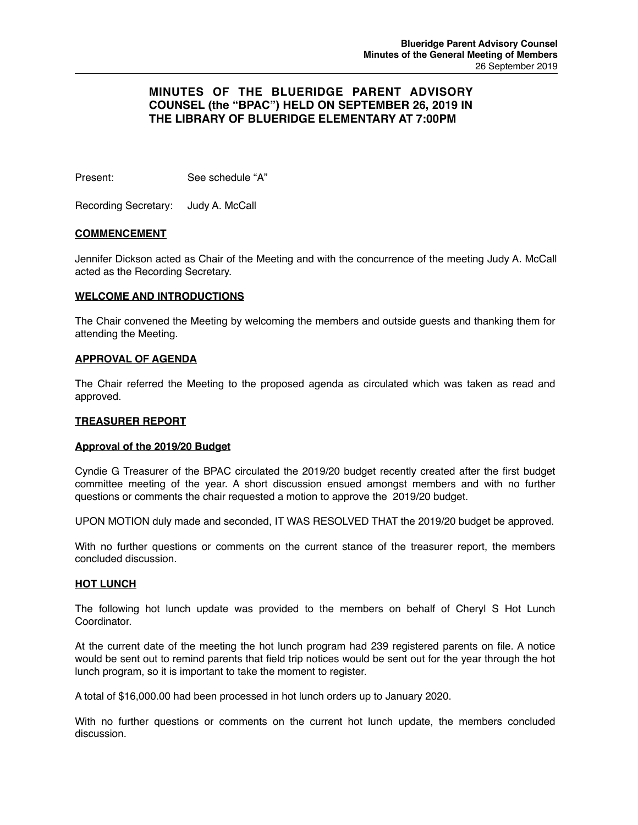# **MINUTES OF THE BLUERIDGE PARENT ADVISORY COUNSEL (the "BPAC") HELD ON SEPTEMBER 26, 2019 IN THE LIBRARY OF BLUERIDGE ELEMENTARY AT 7:00PM**

Present: See schedule "A"

Recording Secretary: Judy A. McCall

# **COMMENCEMENT**

Jennifer Dickson acted as Chair of the Meeting and with the concurrence of the meeting Judy A. McCall acted as the Recording Secretary.

### **WELCOME AND INTRODUCTIONS**

The Chair convened the Meeting by welcoming the members and outside guests and thanking them for attending the Meeting.

### **APPROVAL OF AGENDA**

The Chair referred the Meeting to the proposed agenda as circulated which was taken as read and approved.

### **TREASURER REPORT**

### **Approval of the 2019/20 Budget**

Cyndie G Treasurer of the BPAC circulated the 2019/20 budget recently created after the first budget committee meeting of the year. A short discussion ensued amongst members and with no further questions or comments the chair requested a motion to approve the 2019/20 budget.

UPON MOTION duly made and seconded, IT WAS RESOLVED THAT the 2019/20 budget be approved.

With no further questions or comments on the current stance of the treasurer report, the members concluded discussion.

### **HOT LUNCH**

The following hot lunch update was provided to the members on behalf of Cheryl S Hot Lunch Coordinator.

At the current date of the meeting the hot lunch program had 239 registered parents on file. A notice would be sent out to remind parents that field trip notices would be sent out for the year through the hot lunch program, so it is important to take the moment to register.

A total of \$16,000.00 had been processed in hot lunch orders up to January 2020.

With no further questions or comments on the current hot lunch update, the members concluded discussion.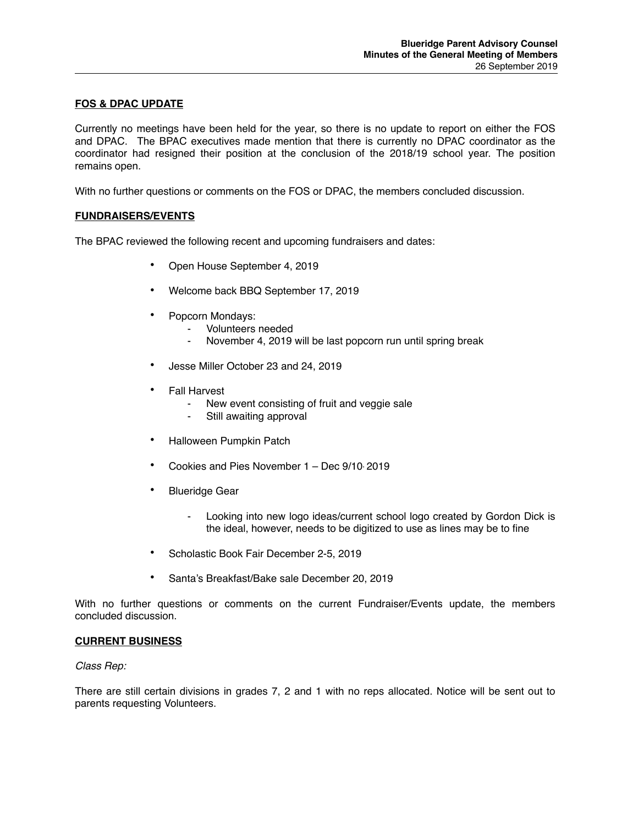# **FOS & DPAC UPDATE**

Currently no meetings have been held for the year, so there is no update to report on either the FOS and DPAC. The BPAC executives made mention that there is currently no DPAC coordinator as the coordinator had resigned their position at the conclusion of the 2018/19 school year. The position remains open.

With no further questions or comments on the FOS or DPAC, the members concluded discussion.

### **FUNDRAISERS/EVENTS**

The BPAC reviewed the following recent and upcoming fundraisers and dates:

- Open House September 4, 2019
- Welcome back BBQ September 17, 2019
- Popcorn Mondays:
	- Volunteers needed
	- November 4, 2019 will be last popcorn run until spring break
- Jesse Miller October 23 and 24, 2019
- Fall Harvest
	- New event consisting of fruit and veggie sale
	- Still awaiting approval
- Halloween Pumpkin Patch
- Cookies and Pies November 1 Dec 9/10, 2019
- Blueridge Gear
	- Looking into new logo ideas/current school logo created by Gordon Dick is the ideal, however, needs to be digitized to use as lines may be to fine
- Scholastic Book Fair December 2-5, 2019
- Santa's Breakfast/Bake sale December 20, 2019

With no further questions or comments on the current Fundraiser/Events update, the members concluded discussion.

#### **CURRENT BUSINESS**

#### *Class Rep:*

There are still certain divisions in grades 7, 2 and 1 with no reps allocated. Notice will be sent out to parents requesting Volunteers.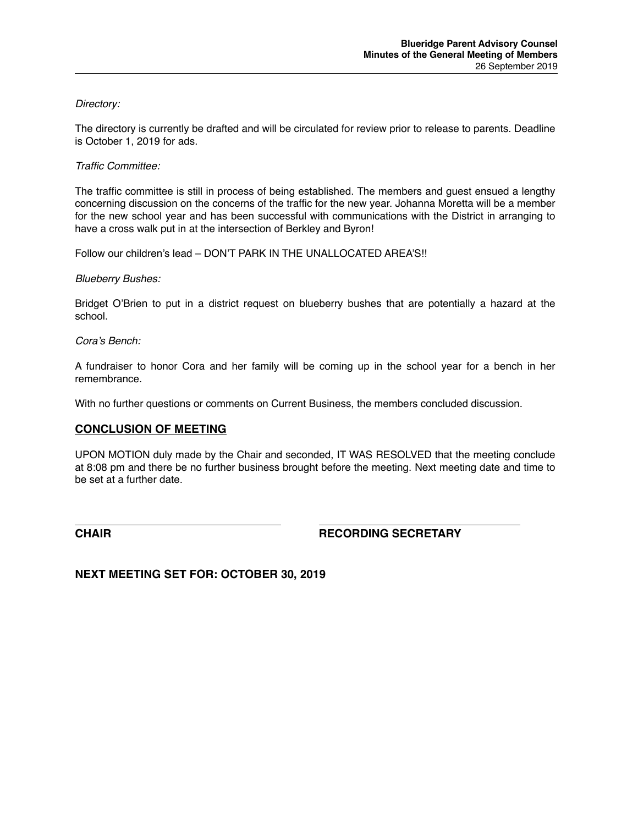# *Directory:*

The directory is currently be drafted and will be circulated for review prior to release to parents. Deadline is October 1, 2019 for ads.

# *Traffic Committee:*

The traffic committee is still in process of being established. The members and guest ensued a lengthy concerning discussion on the concerns of the traffic for the new year. Johanna Moretta will be a member for the new school year and has been successful with communications with the District in arranging to have a cross walk put in at the intersection of Berkley and Byron!

Follow our children's lead – DON'T PARK IN THE UNALLOCATED AREA'S!!

# *Blueberry Bushes:*

Bridget O'Brien to put in a district request on blueberry bushes that are potentially a hazard at the school.

### *Cora's Bench:*

A fundraiser to honor Cora and her family will be coming up in the school year for a bench in her remembrance.

With no further questions or comments on Current Business, the members concluded discussion.

# **CONCLUSION OF MEETING**

UPON MOTION duly made by the Chair and seconded, IT WAS RESOLVED that the meeting conclude at 8:08 pm and there be no further business brought before the meeting. Next meeting date and time to be set at a further date.

**CHAIR CHAIR CHAIR CHAIR** 

**NEXT MEETING SET FOR: OCTOBER 30, 2019**